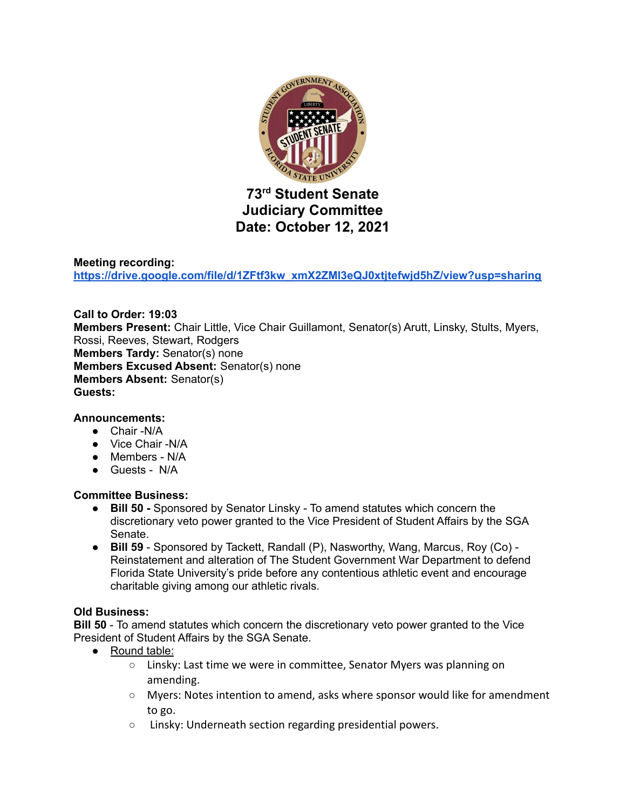

# **73 rd Student Senate Judiciary Committee Date: October 12, 2021**

#### **Meeting recording:**

**[https://drive.google.com/file/d/1ZFtf3kw\\_xmX2ZMl3eQJ0xtjtefwjd5hZ/view?usp=sharing](https://drive.google.com/file/d/1ZFtf3kw_xmX2ZMl3eQJ0xtjtefwjd5hZ/view?usp=sharing)**

#### **Call to Order: 19:03 Members Present:** Chair Little, Vice Chair Guillamont, Senator(s) Arutt, Linsky, Stults, Myers, Rossi, Reeves, Stewart, Rodgers **Members Tardy:** Senator(s) none **Members Excused Absent:** Senator(s) none **Members Absent:** Senator(s) **Guests:**

#### **Announcements:**

- Chair -N/A
- Vice Chair -N/A
- Members N/A
- Guests N/A

#### **Committee Business:**

- **● Bill 50 -** Sponsored by Senator Linsky To amend statutes which concern the discretionary veto power granted to the Vice President of Student Affairs by the SGA Senate.
- **● Bill 59** Sponsored by Tackett, Randall (P), Nasworthy, Wang, Marcus, Roy (Co) Reinstatement and alteration of The Student Government War Department to defend Florida State University's pride before any contentious athletic event and encourage charitable giving among our athletic rivals.

#### **Old Business:**

**Bill 50** - To amend statutes which concern the discretionary veto power granted to the Vice President of Student Affairs by the SGA Senate.

- Round table:
	- Linsky: Last time we were in committee, Senator Myers was planning on amending.
	- Myers: Notes intention to amend, asks where sponsor would like for amendment to go.
	- Linsky: Underneath section regarding presidential powers.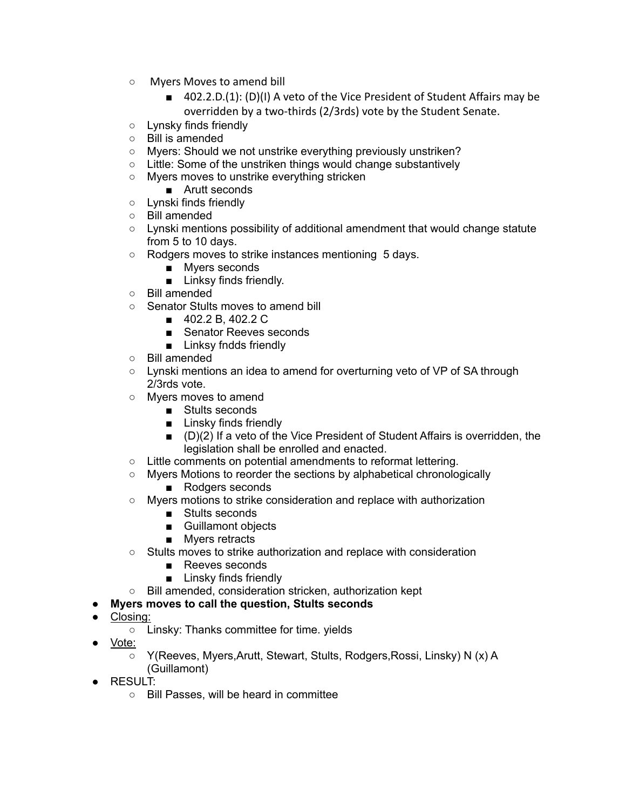- Myers Moves to amend bill
	- 402.2.D.(1): (D)(I) A veto of the Vice President of Student Affairs may be overridden by a two-thirds (2/3rds) vote by the Student Senate.
- Lynsky finds friendly
- Bill is amended
- Myers: Should we not unstrike everything previously unstriken?
- Little: Some of the unstriken things would change substantively
- Myers moves to unstrike everything stricken
	- Arutt seconds
- Lynski finds friendly
- Bill amended
- $\circ$  Lynski mentions possibility of additional amendment that would change statute from 5 to 10 days.
- Rodgers moves to strike instances mentioning 5 days.
	- Myers seconds
		- Linksy finds friendly.
- Bill amended
- Senator Stults moves to amend bill
	- 402.2 B, 402.2 C
	- Senator Reeves seconds
	- Linksy fndds friendly
- Bill amended
- Lynski mentions an idea to amend for overturning veto of VP of SA through 2/3rds vote.
- Myers moves to amend
	- Stults seconds
	- Linsky finds friendly
	- (D)(2) If a veto of the Vice President of Student Affairs is overridden, the legislation shall be enrolled and enacted.
- Little comments on potential amendments to reformat lettering.
- Myers Motions to reorder the sections by alphabetical chronologically
	- Rodgers seconds
- Myers motions to strike consideration and replace with authorization
	- Stults seconds
	- Guillamont objects
	- Myers retracts
- Stults moves to strike authorization and replace with consideration
	- Reeves seconds
	- Linsky finds friendly
- Bill amended, consideration stricken, authorization kept

## ● **Myers moves to call the question, Stults seconds**

- Closing:
	- Linsky: Thanks committee for time. yields
- <u>Vote:</u>
	- Y(Reeves, Myers,Arutt, Stewart, Stults, Rodgers,Rossi, Linsky) N (x) A (Guillamont)
- RESULT:
	- Bill Passes, will be heard in committee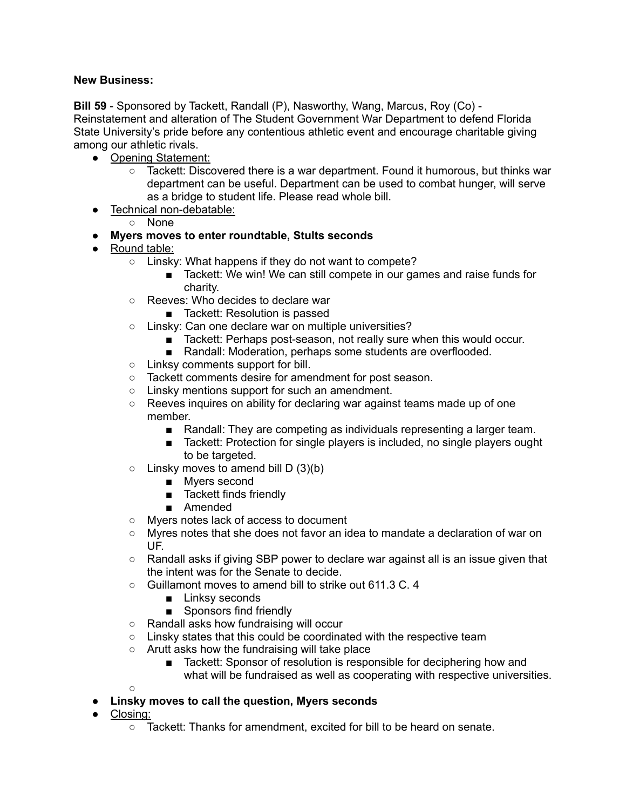### **New Business:**

**Bill 59** - Sponsored by Tackett, Randall (P), Nasworthy, Wang, Marcus, Roy (Co) - Reinstatement and alteration of The Student Government War Department to defend Florida State University's pride before any contentious athletic event and encourage charitable giving among our athletic rivals.

- Opening Statement:
	- $\circ$  Tackett: Discovered there is a war department. Found it humorous, but thinks war department can be useful. Department can be used to combat hunger, will serve as a bridge to student life. Please read whole bill.
- Technical non-debatable:
	- None
- **Myers moves to enter roundtable, Stults seconds**
- Round table:
	- Linsky: What happens if they do not want to compete?
		- Tackett: We win! We can still compete in our games and raise funds for charity.
	- Reeves: Who decides to declare war
		- Tackett: Resolution is passed
	- Linsky: Can one declare war on multiple universities?
		- Tackett: Perhaps post-season, not really sure when this would occur.
		- Randall: Moderation, perhaps some students are overflooded.
	- Linksy comments support for bill.
	- Tackett comments desire for amendment for post season.
	- Linsky mentions support for such an amendment.
	- Reeves inquires on ability for declaring war against teams made up of one member.
		- Randall: They are competing as individuals representing a larger team.
		- Tackett: Protection for single players is included, no single players ought to be targeted.
	- $\circ$  Linsky moves to amend bill D (3)(b)
		- Myers second
		- Tackett finds friendly
		- Amended
	- Myers notes lack of access to document
	- $\circ$  Myres notes that she does not favor an idea to mandate a declaration of war on UF.
	- $\circ$  Randall asks if giving SBP power to declare war against all is an issue given that the intent was for the Senate to decide.
	- Guillamont moves to amend bill to strike out 611.3 C. 4
		- Linksy seconds
		- Sponsors find friendly
	- Randall asks how fundraising will occur
	- Linsky states that this could be coordinated with the respective team
	- Arutt asks how the fundraising will take place
		- Tackett: Sponsor of resolution is responsible for deciphering how and what will be fundraised as well as cooperating with respective universities.
	- ○
- **● Linsky moves to call the question, Myers seconds**
- Closing:
	- $\circ$  Tackett: Thanks for amendment, excited for bill to be heard on senate.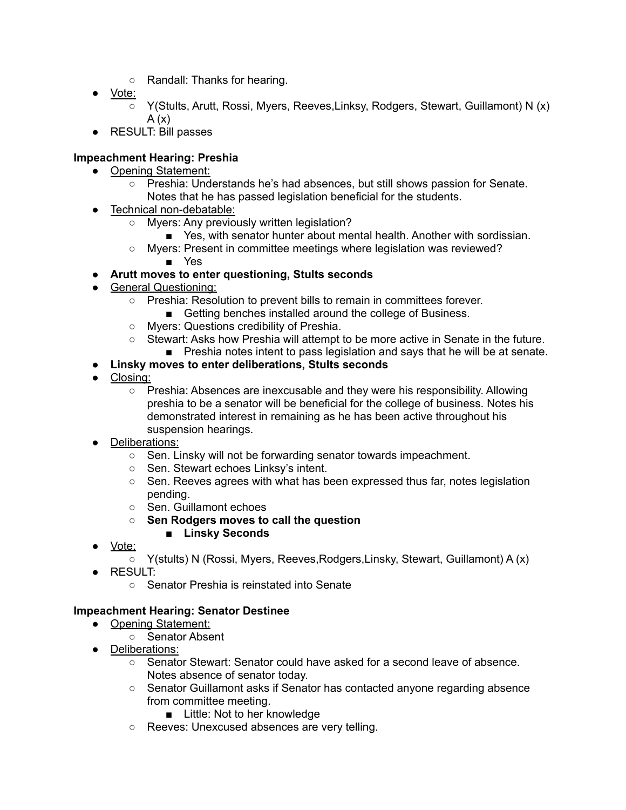- Randall: Thanks for hearing.
- Vote:
	- Y(Stults, Arutt, Rossi, Myers, Reeves,Linksy, Rodgers, Stewart, Guillamont) N (x)  $A(x)$
- RESULT: Bill passes

# **Impeachment Hearing: Preshia**

- Opening Statement:
	- Preshia: Understands he's had absences, but still shows passion for Senate. Notes that he has passed legislation beneficial for the students.
- Technical non-debatable:
	- Myers: Any previously written legislation?
		- Yes, with senator hunter about mental health. Another with sordissian.
	- $\circ$  Myers: Present in committee meetings where legislation was reviewed?
		- Yes
- **● Arutt moves to enter questioning, Stults seconds**
- General Questioning:
	- Preshia: Resolution to prevent bills to remain in committees forever.
		- Getting benches installed around the college of Business.
	- Myers: Questions credibility of Preshia.
	- Stewart: Asks how Preshia will attempt to be more active in Senate in the future.
		- Preshia notes intent to pass legislation and says that he will be at senate.
- **Linsky moves to enter deliberations, Stults seconds**
- Closing:
	- $\circ$  Preshia: Absences are inexcusable and they were his responsibility. Allowing preshia to be a senator will be beneficial for the college of business. Notes his demonstrated interest in remaining as he has been active throughout his suspension hearings.
- Deliberations:
	- Sen. Linsky will not be forwarding senator towards impeachment.
	- Sen. Stewart echoes Linksy's intent.
	- $\circ$  Sen. Reeves agrees with what has been expressed thus far, notes legislation pending.
	- Sen. Guillamont echoes
	- **○ Sen Rodgers moves to call the question**
		- **■ Linsky Seconds**
- Vote:
	- Y(stults) N (Rossi, Myers, Reeves,Rodgers,Linsky, Stewart, Guillamont) A (x)
- RESULT:
	- Senator Preshia is reinstated into Senate

## **Impeachment Hearing: Senator Destinee**

- Opening Statement:
	- Senator Absent
- Deliberations:
	- Senator Stewart: Senator could have asked for a second leave of absence. Notes absence of senator today.
	- Senator Guillamont asks if Senator has contacted anyone regarding absence from committee meeting.
		- Little: Not to her knowledge
	- Reeves: Unexcused absences are very telling.